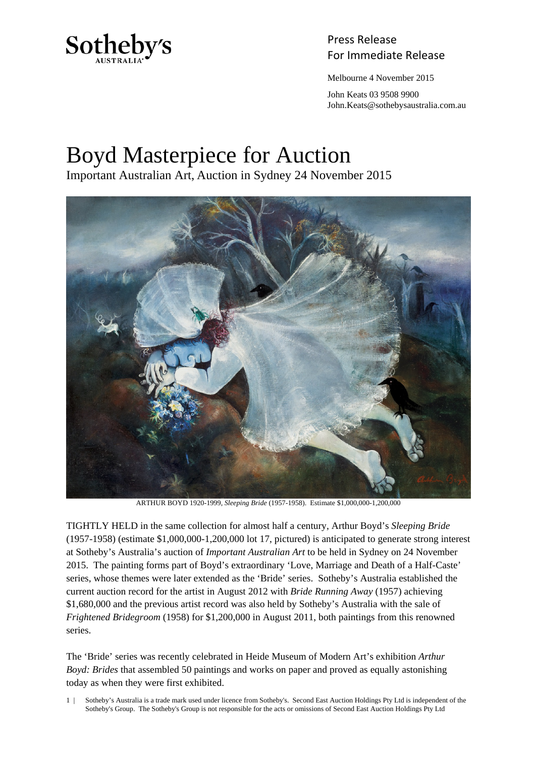

Press Release

Melbourne 4 November 2015

 John Keats 03 9508 9900 John.Keats@sothebysaustralia.com.au

## Boyd Masterpiece for Auction

Important Australian Art, Auction in Sydney 24 November 2015



ARTHUR BOYD 1920-1999, *Sleeping Bride* (1957-1958). Estimate \$1,000,000-1,200,000

TIGHTLY HELD in the same collection for almost half a century, Arthur Boyd's *Sleeping Bride* (1957-1958) (estimate \$1,000,000-1,200,000 lot 17, pictured) is anticipated to generate strong interest at Sotheby's Australia's auction of *Important Australian Art* to be held in Sydney on 24 November 2015. The painting forms part of Boyd's extraordinary 'Love, Marriage and Death of a Half-Caste' series, whose themes were later extended as the 'Bride' series. Sotheby's Australia established the current auction record for the artist in August 2012 with *Bride Running Away* (1957) achieving \$1,680,000 and the previous artist record was also held by Sotheby's Australia with the sale of *Frightened Bridegroom* (1958) for \$1,200,000 in August 2011, both paintings from this renowned series.

The 'Bride' series was recently celebrated in Heide Museum of Modern Art's exhibition *Arthur Boyd: Brides* that assembled 50 paintings and works on paper and proved as equally astonishing today as when they were first exhibited.

1 | Sotheby's Australia is a trade mark used under licence from Sotheby's. Second East Auction Holdings Pty Ltd is independent of the Sotheby's Group. The Sotheby's Group is not responsible for the acts or omissions of Second East Auction Holdings Pty Ltd